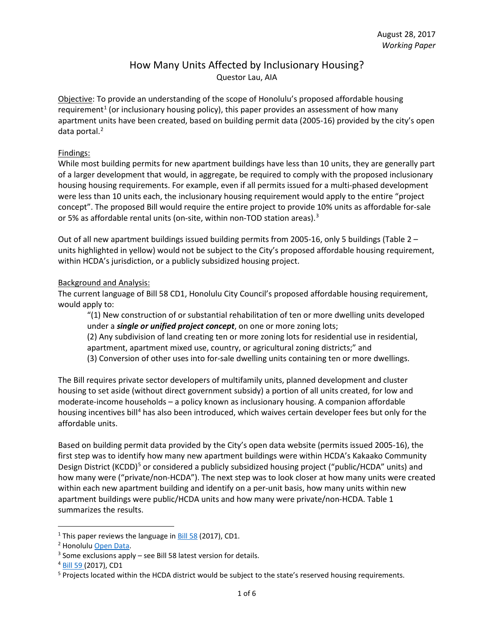## How Many Units Affected by Inclusionary Housing? Questor Lau, AIA

Objective: To provide an understanding of the scope of Honolulu's proposed affordable housing requirement<sup>[1](#page-0-0)</sup> (or inclusionary housing policy), this paper provides an assessment of how many apartment units have been created, based on building permit data (2005-16) provided by the city's open data portal.<sup>[2](#page-0-1)</sup>

#### Findings:

While most building permits for new apartment buildings have less than 10 units, they are generally part of a larger development that would, in aggregate, be required to comply with the proposed inclusionary housing housing requirements. For example, even if all permits issued for a multi-phased development were less than 10 units each, the inclusionary housing requirement would apply to the entire "project concept". The proposed Bill would require the entire project to provide 10% units as affordable for-sale or 5% as affordable rental units (on-site, within non-TOD station areas).<sup>[3](#page-0-2)</sup>

Out of all new apartment buildings issued building permits from 2005-16, only 5 buildings (Table 2 – units highlighted in yellow) would not be subject to the City's proposed affordable housing requirement, within HCDA's jurisdiction, or a publicly subsidized housing project.

#### Background and Analysis:

The current language of Bill 58 CD1, Honolulu City Council's proposed affordable housing requirement, would apply to:

"(1) New construction of or substantial rehabilitation of ten or more dwelling units developed under a *single or unified project concept*, on one or more zoning lots;

(2) Any subdivision of land creating ten or more zoning lots for residential use in residential, apartment, apartment mixed use, country, or agricultural zoning districts;" and (3) Conversion of other uses into for-sale dwelling units containing ten or more dwellings.

The Bill requires private sector developers of multifamily units, planned development and cluster housing to set aside (without direct government subsidy) a portion of all units created, for low and moderate-income households – a policy known as inclusionary housing. A companion affordable housing incentives bill<sup>[4](#page-0-3)</sup> has also been introduced, which waives certain developer fees but only for the affordable units.

Based on building permit data provided by the City's open data website (permits issued 2005-16), the first step was to identify how many new apartment buildings were within HCDA's Kakaako Community Design District (KCDD)<sup>[5](#page-0-4)</sup> or considered a publicly subsidized housing project ("public/HCDA" units) and how many were ("private/non-HCDA"). The next step was to look closer at how many units were created within each new apartment building and identify on a per-unit basis, how many units within new apartment buildings were public/HCDA units and how many were private/non-HCDA. Table 1 summarizes the results.

<span id="page-0-0"></span><sup>&</sup>lt;sup>1</sup> This paper reviews the language in  $\underline{\text{Bill 58}}$  (2017), CD1.

<span id="page-0-2"></span><span id="page-0-1"></span><sup>&</sup>lt;sup>2</sup> Honolulu Open Data.<br><sup>3</sup> Some exclusions apply – see Bill 58 latest version for details.

<span id="page-0-3"></span><sup>4</sup> [Bill 59 \(](http://www4.honolulu.gov/docushare/dsweb/Get/Document-194489/BILL059(17).htm)2017), CD1

<span id="page-0-4"></span><sup>&</sup>lt;sup>5</sup> Projects located within the HCDA district would be subject to the state's reserved housing requirements.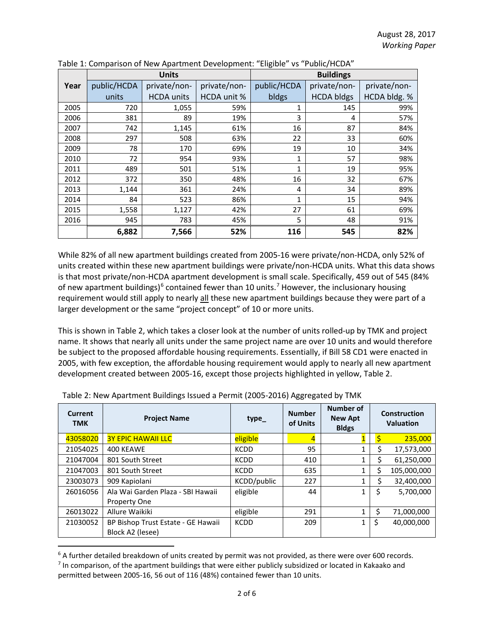|      | <b>Units</b> |                   |                    | <b>Buildings</b> |                   |              |  |
|------|--------------|-------------------|--------------------|------------------|-------------------|--------------|--|
| Year | public/HCDA  | private/non-      | private/non-       | public/HCDA      | private/non-      | private/non- |  |
|      | units        | <b>HCDA</b> units | <b>HCDA unit %</b> | bldgs            | <b>HCDA bldgs</b> | HCDA bldg. % |  |
| 2005 | 720          | 1,055             | 59%                | 1                | 145               | 99%          |  |
| 2006 | 381          | 89                | 19%                | 3                | 4                 | 57%          |  |
| 2007 | 742          | 1,145             | 61%                | 16               | 87                | 84%          |  |
| 2008 | 297          | 508               | 63%                | 22               | 33                | 60%          |  |
| 2009 | 78           | 170               | 69%                | 19               | 10                | 34%          |  |
| 2010 | 72           | 954               | 93%                | 1                | 57                | 98%          |  |
| 2011 | 489          | 501               | 51%                | $\mathbf{1}$     | 19                | 95%          |  |
| 2012 | 372          | 350               | 48%                | 16               | 32                | 67%          |  |
| 2013 | 1,144        | 361               | 24%                | 4                | 34                | 89%          |  |
| 2014 | 84           | 523               | 86%                | 1                | 15                | 94%          |  |
| 2015 | 1,558        | 1,127             | 42%                | 27               | 61                | 69%          |  |
| 2016 | 945          | 783               | 45%                | 5                | 48                | 91%          |  |
|      | 6,882        | 7,566             | 52%                | 116              | 545               | 82%          |  |

Table 1: Comparison of New Apartment Development: "Eligible" vs "Public/HCDA"

While 82% of all new apartment buildings created from 2005-16 were private/non-HCDA, only 52% of units created within these new apartment buildings were private/non-HCDA units. What this data shows is that most private/non-HCDA apartment development is small scale. Specifically, 459 out of 545 (84% of new apartment buildings)<sup>[6](#page-1-0)</sup> contained fewer than 10 units.<sup>[7](#page-1-1)</sup> However, the inclusionary housing requirement would still apply to nearly all these new apartment buildings because they were part of a larger development or the same "project concept" of 10 or more units.

This is shown in Table 2, which takes a closer look at the number of units rolled-up by TMK and project name. It shows that nearly all units under the same project name are over 10 units and would therefore be subject to the proposed affordable housing requirements. Essentially, if Bill 58 CD1 were enacted in 2005, with few exception, the affordable housing requirement would apply to nearly all new apartment development created between 2005-16, except those projects highlighted in yellow, Table 2.

| Current<br><b>TMK</b> | <b>Project Name</b>                | $type_$     | <b>Number</b><br>of Units | <b>Number of</b><br><b>New Apt</b><br><b>Bldgs</b> | <b>Construction</b><br><b>Valuation</b> |             |
|-----------------------|------------------------------------|-------------|---------------------------|----------------------------------------------------|-----------------------------------------|-------------|
| 43058020              | <b>3Y EPIC HAWAII LLC</b>          | eligible    | $\overline{4}$            |                                                    |                                         | 235,000     |
| 21054025              | 400 KEAWE                          | <b>KCDD</b> | 95                        | 1                                                  | Ś                                       | 17,573,000  |
| 21047004              | 801 South Street                   | <b>KCDD</b> | 410                       | 1                                                  | Ś                                       | 61,250,000  |
| 21047003              | 801 South Street                   | <b>KCDD</b> | 635                       | 1                                                  | Ś                                       | 105,000,000 |
| 23003073              | 909 Kapiolani                      | KCDD/public | 227                       | 1                                                  | Ś                                       | 32,400,000  |
| 26016056              | Ala Wai Garden Plaza - SBI Hawaii  | eligible    | 44                        | 1                                                  | Ś                                       | 5,700,000   |
|                       | Property One                       |             |                           |                                                    |                                         |             |
| 26013022              | Allure Waikiki                     | eligible    | 291                       | 1                                                  | Ś                                       | 71,000,000  |
| 21030052              | BP Bishop Trust Estate - GE Hawaii | <b>KCDD</b> | 209                       | $\mathbf{1}$                                       |                                         | 40,000,000  |
|                       | Block A2 (lesee)                   |             |                           |                                                    |                                         |             |

Table 2: New Apartment Buildings Issued a Permit (2005-2016) Aggregated by TMK

<span id="page-1-0"></span> $6$  A further detailed breakdown of units created by permit was not provided, as there were over 600 records.

<span id="page-1-1"></span> $<sup>7</sup>$  In comparison, of the apartment buildings that were either publicly subsidized or located in Kakaako and</sup> permitted between 2005-16, 56 out of 116 (48%) contained fewer than 10 units.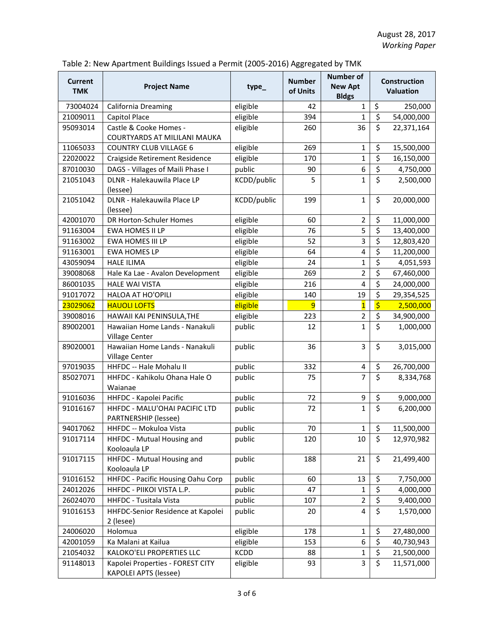| <b>Current</b><br><b>TMK</b> | <b>Project Name</b>                                              | type_       | <b>Number</b><br>of Units | Number of<br><b>New Apt</b><br><b>Bldgs</b> | <b>Construction</b><br><b>Valuation</b> |            |
|------------------------------|------------------------------------------------------------------|-------------|---------------------------|---------------------------------------------|-----------------------------------------|------------|
| 73004024                     | California Dreaming                                              | eligible    | 42                        | $\mathbf{1}$                                | \$                                      | 250,000    |
| 21009011                     | Capitol Place                                                    | eligible    | 394                       | 1                                           | \$                                      | 54,000,000 |
| 95093014                     | Castle & Cooke Homes -<br>COURTYARDS AT MILILANI MAUKA           | eligible    | 260                       | 36                                          | \$                                      | 22,371,164 |
| 11065033                     | <b>COUNTRY CLUB VILLAGE 6</b>                                    | eligible    | 269                       | $\mathbf{1}$                                | \$                                      | 15,500,000 |
| 22020022                     | Craigside Retirement Residence                                   | eligible    | 170                       | $\mathbf{1}$                                | \$                                      | 16,150,000 |
| 87010030                     | DAGS - Villages of Maili Phase I                                 | public      | 90                        | 6                                           | \$                                      | 4,750,000  |
| 21051043                     | DLNR - Halekauwila Place LP<br>(lessee)                          | KCDD/public | 5                         | $\mathbf{1}$                                | $\overline{\xi}$                        | 2,500,000  |
| 21051042                     | DLNR - Halekauwila Place LP<br>(lessee)                          | KCDD/public | 199                       | $\mathbf 1$                                 | \$                                      | 20,000,000 |
| 42001070                     | DR Horton-Schuler Homes                                          | eligible    | 60                        | $\overline{2}$                              | \$                                      | 11,000,000 |
| 91163004                     | EWA HOMES II LP                                                  | eligible    | 76                        | 5                                           | \$                                      | 13,400,000 |
| 91163002                     | EWA HOMES III LP                                                 | eligible    | 52                        | 3                                           | \$                                      | 12,803,420 |
| 91163001                     | <b>EWA HOMES LP</b>                                              | eligible    | 64                        | 4                                           | \$                                      | 11,200,000 |
| 43059094                     | <b>HALE ILIMA</b>                                                | eligible    | 24                        | $\mathbf{1}$                                | \$                                      | 4,051,593  |
| 39008068                     | Hale Ka Lae - Avalon Development                                 | eligible    | 269                       | $\overline{2}$                              | \$                                      | 67,460,000 |
| 86001035                     | <b>HALE WAI VISTA</b>                                            | eligible    | 216                       | 4                                           | \$                                      | 24,000,000 |
| 91017072                     | <b>HALOA AT HO'OPILI</b>                                         | eligible    | 140                       | 19                                          | \$                                      | 29,354,525 |
| 23029062                     | <b>HAUOLI LOFTS</b>                                              | eligible    | $\overline{9}$            | $\overline{\mathbf{1}}$                     | $\overline{\boldsymbol{\zeta}}$         | 2,500,000  |
| 39008016                     | HAWAII KAI PENINSULA, THE                                        | eligible    | 223                       | $\overline{2}$                              | \$                                      | 34,900,000 |
| 89002001                     | Hawaiian Home Lands - Nanakuli<br>Village Center                 | public      | 12                        | $\mathbf{1}$                                | $\overline{\mathsf{S}}$                 | 1,000,000  |
| 89020001                     | Hawaiian Home Lands - Nanakuli<br>Village Center                 | public      | 36                        | 3                                           | \$                                      | 3,015,000  |
| 97019035                     | HHFDC -- Hale Mohalu II                                          | public      | 332                       | 4                                           | \$                                      | 26,700,000 |
| 85027071                     | HHFDC - Kahikolu Ohana Hale O<br>Waianae                         | public      | 75                        | $\overline{7}$                              | \$                                      | 8,334,768  |
| 91016036                     | HHFDC - Kapolei Pacific                                          | public      | 72                        | 9                                           | \$                                      | 9,000,000  |
| 91016167                     | HHFDC - MALU'OHAI PACIFIC LTD<br><b>PARTNERSHIP (lessee)</b>     | public      | 72                        | $\mathbf{1}$                                | $\overline{\mathsf{S}}$                 | 6,200,000  |
| 94017062                     | HHFDC -- Mokuloa Vista                                           | public      | 70                        | $\mathbf 1$                                 | \$                                      | 11,500,000 |
| 91017114                     | HHFDC - Mutual Housing and<br>Kooloaula LP                       | public      | 120                       | 10                                          | \$                                      | 12,970,982 |
| 91017115                     | HHFDC - Mutual Housing and<br>Kooloaula LP                       | public      | 188                       | 21                                          | \$                                      | 21,499,400 |
| 91016152                     | HHFDC - Pacific Housing Oahu Corp                                | public      | 60                        | 13                                          | \$                                      | 7,750,000  |
| 24012026                     | HHFDC - PIIKOI VISTA L.P.                                        | public      | 47                        | $\mathbf{1}$                                | $\overline{\mathsf{S}}$                 | 4,000,000  |
| 26024070                     | HHFDC - Tusitala Vista                                           | public      | 107                       | $\overline{2}$                              | \$                                      | 9,400,000  |
| 91016153                     | HHFDC-Senior Residence at Kapolei<br>2 (lesee)                   | public      | 20                        | 4                                           | \$                                      | 1,570,000  |
| 24006020                     | Holomua                                                          | eligible    | 178                       | $\mathbf{1}$                                | \$                                      | 27,480,000 |
| 42001059                     | Ka Malani at Kailua                                              | eligible    | 153                       | 6                                           | \$                                      | 40,730,943 |
| 21054032                     | KALOKO'ELI PROPERTIES LLC                                        | <b>KCDD</b> | 88                        | $\mathbf{1}$                                | \$                                      | 21,500,000 |
| 91148013                     | Kapolei Properties - FOREST CITY<br><b>KAPOLEI APTS (lessee)</b> | eligible    | 93                        | 3                                           | \$                                      | 11,571,000 |

### Table 2: New Apartment Buildings Issued a Permit (2005-2016) Aggregated by TMK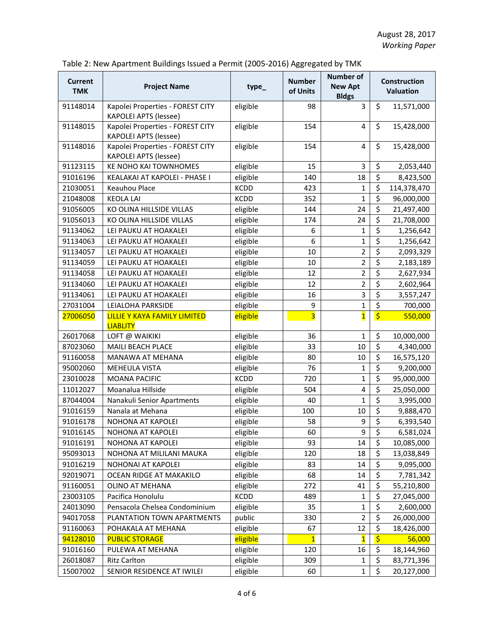| <b>Current</b><br><b>TMK</b> | <b>Project Name</b>                                              | type_       | <b>Number</b><br>of Units | <b>Number of</b><br><b>New Apt</b><br><b>Bldgs</b> | <b>Construction</b><br><b>Valuation</b> |             |
|------------------------------|------------------------------------------------------------------|-------------|---------------------------|----------------------------------------------------|-----------------------------------------|-------------|
| 91148014                     | Kapolei Properties - FOREST CITY<br><b>KAPOLEI APTS (lessee)</b> | eligible    | 98                        | 3                                                  | \$                                      | 11,571,000  |
| 91148015                     | Kapolei Properties - FOREST CITY<br><b>KAPOLEI APTS (lessee)</b> | eligible    | 154                       | 4                                                  | \$                                      | 15,428,000  |
| 91148016                     | Kapolei Properties - FOREST CITY<br><b>KAPOLEI APTS (lessee)</b> | eligible    | 154                       | 4                                                  | \$                                      | 15,428,000  |
| 91123115                     | <b>KE NOHO KAI TOWNHOMES</b>                                     | eligible    | 15                        | 3                                                  | \$                                      | 2,053,440   |
| 91016196                     | KEALAKAI AT KAPOLEI - PHASE I                                    | eligible    | 140                       | 18                                                 | $\overline{\xi}$                        | 8,423,500   |
| 21030051                     | Keauhou Place                                                    | <b>KCDD</b> | 423                       | $\mathbf{1}$                                       | \$                                      | 114,378,470 |
| 21048008                     | <b>KEOLA LAI</b>                                                 | <b>KCDD</b> | 352                       | $\mathbf{1}$                                       | \$                                      | 96,000,000  |
| 91056005                     | KO OLINA HILLSIDE VILLAS                                         | eligible    | 144                       | 24                                                 | \$                                      | 21,497,400  |
| 91056013                     | KO OLINA HILLSIDE VILLAS                                         | eligible    | 174                       | 24                                                 | \$                                      | 21,708,000  |
| 91134062                     | LEI PAUKU AT HOAKALEI                                            | eligible    | 6                         | $\mathbf{1}$                                       | $\overline{\xi}$                        | 1,256,642   |
| 91134063                     | LEI PAUKU AT HOAKALEI                                            | eligible    | 6                         | $\mathbf{1}$                                       | \$                                      | 1,256,642   |
| 91134057                     | LEI PAUKU AT HOAKALEI                                            | eligible    | 10                        | $\overline{2}$                                     | \$                                      | 2,093,329   |
| 91134059                     | LEI PAUKU AT HOAKALEI                                            | eligible    | 10                        | $\overline{2}$                                     | \$                                      | 2,183,189   |
| 91134058                     | LEI PAUKU AT HOAKALEI                                            | eligible    | 12                        | $\overline{2}$                                     | \$                                      | 2,627,934   |
| 91134060                     | LEI PAUKU AT HOAKALEI                                            | eligible    | 12                        | $\overline{2}$                                     | \$                                      | 2,602,964   |
| 91134061                     | LEI PAUKU AT HOAKALEI                                            | eligible    | 16                        | 3                                                  | $\overline{\xi}$                        | 3,557,247   |
| 27031004                     | LEIALOHA PARKSIDE                                                | eligible    | 9                         | $\mathbf{1}$                                       | $\overline{\xi}$                        | 700,000     |
| 27006050                     | <b>LILLIE Y KAYA FAMILY LIMITED</b><br><b>LIABLITY</b>           | eligible    | $\overline{\mathbf{3}}$   | $\overline{\mathbf{1}}$                            | $\overline{\boldsymbol{\zeta}}$         | 550,000     |
| 26017068                     | LOFT @ WAIKIKI                                                   | eligible    | 36                        | $\mathbf{1}$                                       | \$                                      | 10,000,000  |
| 87023060                     | MAILI BEACH PLACE                                                | eligible    | 33                        | 10                                                 | \$                                      | 4,340,000   |
| 91160058                     | MANAWA AT MEHANA                                                 | eligible    | 80                        | 10                                                 | $\overline{\mathsf{S}}$                 | 16,575,120  |
| 95002060                     | MEHEULA VISTA                                                    | eligible    | 76                        | $\mathbf{1}$                                       | \$                                      | 9,200,000   |
| 23010028                     | <b>MOANA PACIFIC</b>                                             | <b>KCDD</b> | 720                       | $\mathbf{1}$                                       | $\overline{\boldsymbol{\zeta}}$         | 95,000,000  |
| 11012027                     | Moanalua Hillside                                                | eligible    | 504                       | 4                                                  | \$                                      | 25,050,000  |
| 87044004                     | Nanakuli Senior Apartments                                       | eligible    | 40                        | $\mathbf{1}$                                       | $\overline{\xi}$                        | 3,995,000   |
| 91016159                     | Nanala at Mehana                                                 | eligible    | 100                       | 10                                                 | \$                                      | 9,888,470   |
| 91016178                     | <b>NOHONA AT KAPOLEI</b>                                         | eligible    | 58                        | 9                                                  | \$                                      | 6,393,540   |
| 91016145                     | NOHONA AT KAPOLEI                                                | eligible    | 60                        | 9                                                  | $\overline{a}$<br>Ş                     | 6,581,024   |
| 91016191                     | NOHONA AT KAPOLEI                                                | eligible    | 93                        | 14                                                 | \$                                      | 10,085,000  |
| 95093013                     | NOHONA AT MILILANI MAUKA                                         | eligible    | 120                       | 18                                                 | \$                                      | 13,038,849  |
| 91016219                     | NOHONAI AT KAPOLEI                                               | eligible    | 83                        | 14                                                 | $\overline{\xi}$                        | 9,095,000   |
| 92019071                     | OCEAN RIDGE AT MAKAKILO                                          | eligible    | 68                        | 14                                                 | $\overline{\mathsf{S}}$                 | 7,781,342   |
| 91160051                     | OLINO AT MEHANA                                                  | eligible    | 272                       | 41                                                 | $\overline{\boldsymbol{\zeta}}$         | 55,210,800  |
| 23003105                     | Pacifica Honolulu                                                | <b>KCDD</b> | 489                       | $\mathbf{1}$                                       | $\overline{\xi}$                        | 27,045,000  |
| 24013090                     | Pensacola Chelsea Condominium                                    | eligible    | 35                        | $\mathbf{1}$                                       | \$                                      | 2,600,000   |
| 94017058                     | PLANTATION TOWN APARTMENTS                                       | public      | 330                       | $\overline{2}$                                     | \$                                      | 26,000,000  |
| 91160063                     | POHAKALA AT MEHANA                                               | eligible    | 67                        | 12                                                 | $\overline{\boldsymbol{\zeta}}$         | 18,426,000  |
| 94128010                     | <b>PUBLIC STORAGE</b>                                            | eligible    | $\mathbf{1}$              | $\overline{\mathbf{1}}$                            | \$                                      | 56,000      |
| 91016160                     | PULEWA AT MEHANA                                                 | eligible    | 120                       | 16                                                 | \$                                      | 18,144,960  |
| 26018087                     | <b>Ritz Carlton</b>                                              | eligible    | 309                       | $\mathbf{1}$                                       | \$                                      | 83,771,396  |
| 15007002                     | SENIOR RESIDENCE AT IWILEI                                       | eligible    | 60                        | $\mathbf{1}$                                       | \$                                      | 20,127,000  |

# Table 2: New Apartment Buildings Issued a Permit (2005-2016) Aggregated by TMK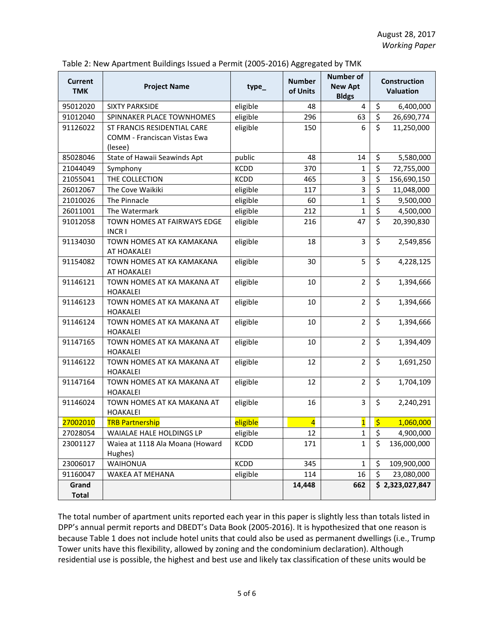| <b>Current</b><br><b>TMK</b> | <b>Project Name</b>                                                    | type_       | <b>Number</b><br>of Units | <b>Number of</b><br><b>New Apt</b><br><b>Bldgs</b> |                          | <b>Construction</b><br><b>Valuation</b> |  |
|------------------------------|------------------------------------------------------------------------|-------------|---------------------------|----------------------------------------------------|--------------------------|-----------------------------------------|--|
| 95012020                     | <b>SIXTY PARKSIDE</b>                                                  | eligible    | 48                        | 4                                                  | \$                       | 6,400,000                               |  |
| 91012040                     | SPINNAKER PLACE TOWNHOMES                                              | eligible    | 296                       | 63                                                 | \$                       | 26,690,774                              |  |
| 91126022                     | ST FRANCIS RESIDENTIAL CARE<br>COMM - Franciscan Vistas Ewa<br>(lesee) | eligible    | 150                       | 6                                                  | \$                       | 11,250,000                              |  |
| 85028046                     | State of Hawaii Seawinds Apt                                           | public      | 48                        | 14                                                 | \$                       | 5,580,000                               |  |
| 21044049                     | Symphony                                                               | <b>KCDD</b> | 370                       | 1                                                  | \$                       | 72,755,000                              |  |
| 21055041                     | THE COLLECTION                                                         | <b>KCDD</b> | 465                       | 3                                                  | \$                       | 156,690,150                             |  |
| 26012067                     | The Cove Waikiki                                                       | eligible    | 117                       | 3                                                  | \$                       | 11,048,000                              |  |
| 21010026                     | The Pinnacle                                                           | eligible    | 60                        | $\mathbf{1}$                                       | \$                       | 9,500,000                               |  |
| 26011001                     | The Watermark                                                          | eligible    | 212                       | $\mathbf{1}$                                       | $\overline{\mathcal{S}}$ | 4,500,000                               |  |
| 91012058                     | TOWN HOMES AT FAIRWAYS EDGE<br><b>INCRI</b>                            | eligible    | 216                       | 47                                                 | \$                       | 20,390,830                              |  |
| 91134030                     | TOWN HOMES AT KA KAMAKANA<br>AT HOAKALEI                               | eligible    | 18                        | 3                                                  | \$                       | 2,549,856                               |  |
| 91154082                     | TOWN HOMES AT KA KAMAKANA<br>AT HOAKALEI                               | eligible    | 30                        | 5                                                  | \$                       | 4,228,125                               |  |
| 91146121                     | TOWN HOMES AT KA MAKANA AT<br><b>HOAKALEI</b>                          | eligible    | 10                        | $\overline{2}$                                     | \$                       | 1,394,666                               |  |
| 91146123                     | TOWN HOMES AT KA MAKANA AT<br><b>HOAKALEI</b>                          | eligible    | 10                        | $\overline{2}$                                     | \$                       | 1,394,666                               |  |
| 91146124                     | TOWN HOMES AT KA MAKANA AT<br><b>HOAKALEI</b>                          | eligible    | 10                        | $\overline{2}$                                     | \$                       | 1,394,666                               |  |
| 91147165                     | TOWN HOMES AT KA MAKANA AT<br><b>HOAKALEI</b>                          | eligible    | 10                        | $\overline{2}$                                     | \$                       | 1,394,409                               |  |
| 91146122                     | TOWN HOMES AT KA MAKANA AT<br><b>HOAKALEI</b>                          | eligible    | 12                        | $\overline{2}$                                     | \$                       | 1,691,250                               |  |
| 91147164                     | TOWN HOMES AT KA MAKANA AT<br><b>HOAKALEI</b>                          | eligible    | 12                        | $\overline{2}$                                     | \$                       | 1,704,109                               |  |
| 91146024                     | TOWN HOMES AT KA MAKANA AT<br><b>HOAKALEI</b>                          | eligible    | 16                        | 3                                                  | $\overline{\mathsf{S}}$  | 2,240,291                               |  |
| 27002010                     | <b>TRB Partnership</b>                                                 | eligible    | $\overline{4}$            | $\overline{\mathbf{1}}$                            | $\ddot{\varsigma}$       | 1,060,000                               |  |
| 27028054                     | WAIALAE HALE HOLDINGS LP                                               | eligible    | 12                        | $\mathbf{1}$                                       | Ç                        | 4,900,000                               |  |
| 23001127                     | Waiea at 1118 Ala Moana (Howard<br>Hughes)                             | KCDD        | 171                       | $\mathbf{1}$                                       | \$                       | 136,000,000                             |  |
| 23006017                     | <b>WAIHONUA</b>                                                        | <b>KCDD</b> | 345                       | $\mathbf{1}$                                       | \$                       | 109,900,000                             |  |
| 91160047                     | WAKEA AT MEHANA                                                        | eligible    | 114                       | 16                                                 | \$                       | 23,080,000                              |  |
| Grand<br><b>Total</b>        |                                                                        |             | 14,448                    | 662                                                |                          | \$2,323,027,847                         |  |

The total number of apartment units reported each year in this paper is slightly less than totals listed in DPP's annual permit reports and DBEDT's Data Book (2005-2016). It is hypothesized that one reason is because Table 1 does not include hotel units that could also be used as permanent dwellings (i.e., Trump Tower units have this flexibility, allowed by zoning and the condominium declaration). Although residential use is possible, the highest and best use and likely tax classification of these units would be